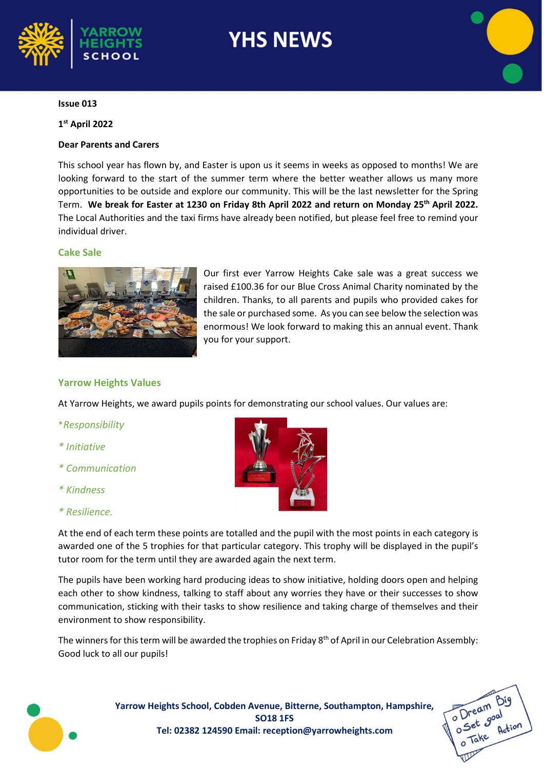

# **YHS NEWS**

#### Issue 013

#### 1 st April 2022

#### Dear Parents and Carers

This school year has flown by, and Easter is upon us it seems in weeks as opposed to months! We are looking forward to the start of the summer term where the better weather allows us many more opportunities to be outside and explore our community. This will be the last newsletter for the Spring Term. We break for Easter at 1230 on Friday 8th April 2022 and return on Monday 25<sup>th</sup> April 2022. The Local Authorities and the taxi firms have already been notified, but please feel free to remind your individual driver.

#### Cake Sale



Our first ever Yarrow Heights Cake sale was a great success we raised £100.36 for our Blue Cross Animal Charity nominated by the children. Thanks, to all parents and pupils who provided cakes for the sale or purchased some. As you can see below the selection was enormous! We look forward to making this an annual event. Thank you for your support.

#### Yarrow Heights Values

At Yarrow Heights, we award pupils points for demonstrating our school values. Our values are:

- \*Responsibility
- \* Initiative
- \* Communication
- \* Kindness

#### \* Resilience.



At the end of each term these points are totalled and the pupil with the most points in each category is awarded one of the 5 trophies for that particular category. This trophy will be displayed in the pupil's tutor room for the term until they are awarded again the next term.

The pupils have been working hard producing ideas to show initiative, holding doors open and helping each other to show kindness, talking to staff about any worries they have or their successes to show communication, sticking with their tasks to show resilience and taking charge of themselves and their environment to show responsibility.

The winners for this term will be awarded the trophies on Friday 8<sup>th</sup> of April in our Celebration Assembly: Good luck to all our pupils!



Yarrow Heights School, Cobden Avenue, Bitterne, Southampton, Hampshire, SO18 1FS Tel: 02382 124590 Email: reception@yarrowheights.com

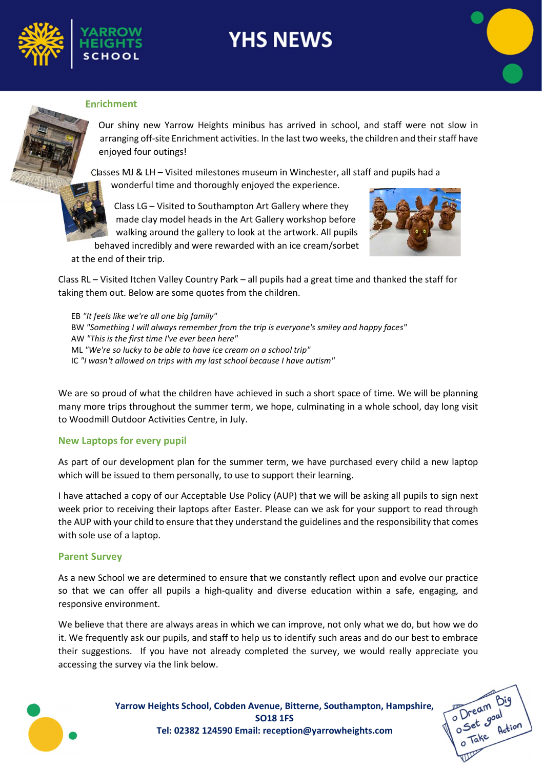

# **YHS NEWS**



#### Enrichment

Our shiny new Yarrow Heights minibus has arrived in school, and staff were not slow in arranging off-site Enrichment activities. In the last two weeks, the children and their staff have enjoyed four outings!

Classes MJ & LH – Visited milestones museum in Winchester, all staff and pupils had a wonderful time and thoroughly enjoyed the experience.

Class LG – Visited to Southampton Art Gallery where they made clay model heads in the Art Gallery workshop before walking around the gallery to look at the artwork. All pupils

behaved incredibly and were rewarded with an ice cream/sorbet



at the end of their trip.

Class RL – Visited Itchen Valley Country Park – all pupils had a great time and thanked the staff for taking them out. Below are some quotes from the children.

EB "It feels like we're all one big family" BW "Something I will always remember from the trip is everyone's smiley and happy faces" AW "This is the first time I've ever been here" ML "We're so lucky to be able to have ice cream on a school trip" IC "I wasn't allowed on trips with my last school because I have autism"

We are so proud of what the children have achieved in such a short space of time. We will be planning many more trips throughout the summer term, we hope, culminating in a whole school, day long visit to Woodmill Outdoor Activities Centre, in July.

#### New Laptops for every pupil

As part of our development plan for the summer term, we have purchased every child a new laptop which will be issued to them personally, to use to support their learning.

I have attached a copy of our Acceptable Use Policy (AUP) that we will be asking all pupils to sign next week prior to receiving their laptops after Easter. Please can we ask for your support to read through the AUP with your child to ensure that they understand the guidelines and the responsibility that comes with sole use of a laptop.

#### Parent Survey

As a new School we are determined to ensure that we constantly reflect upon and evolve our practice so that we can offer all pupils a high-quality and diverse education within a safe, engaging, and responsive environment.

We believe that there are always areas in which we can improve, not only what we do, but how we do it. We frequently ask our pupils, and staff to help us to identify such areas and do our best to embrace their suggestions. If you have not already completed the survey, we would really appreciate you accessing the survey via the link below.



Yarrow Heights School, Cobden Avenue, Bitterne, Southampton, Hampshire, SO18 1FS Tel: 02382 124590 Email: reception@yarrowheights.com